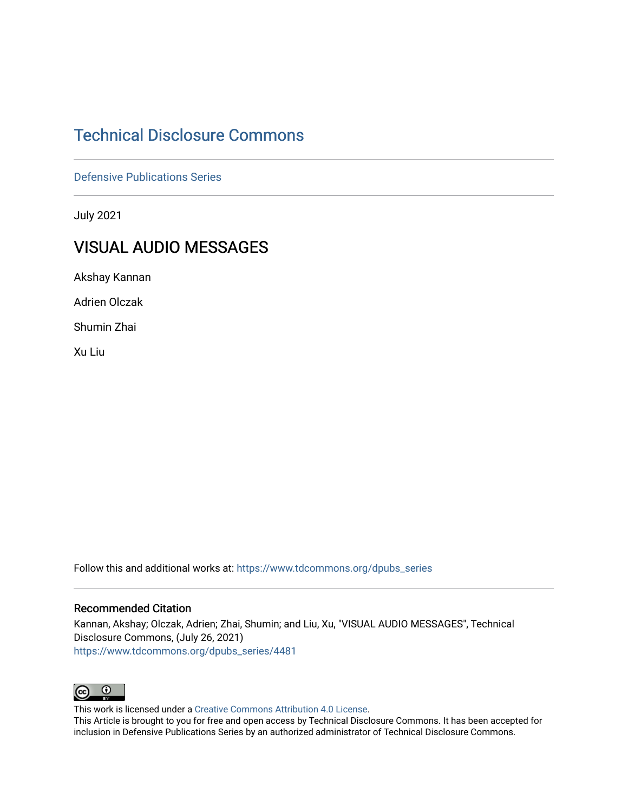# [Technical Disclosure Commons](https://www.tdcommons.org/)

[Defensive Publications Series](https://www.tdcommons.org/dpubs_series)

July 2021

# VISUAL AUDIO MESSAGES

Akshay Kannan

Adrien Olczak

Shumin Zhai

Xu Liu

Follow this and additional works at: [https://www.tdcommons.org/dpubs\\_series](https://www.tdcommons.org/dpubs_series?utm_source=www.tdcommons.org%2Fdpubs_series%2F4481&utm_medium=PDF&utm_campaign=PDFCoverPages) 

## Recommended Citation

Kannan, Akshay; Olczak, Adrien; Zhai, Shumin; and Liu, Xu, "VISUAL AUDIO MESSAGES", Technical Disclosure Commons, (July 26, 2021) [https://www.tdcommons.org/dpubs\\_series/4481](https://www.tdcommons.org/dpubs_series/4481?utm_source=www.tdcommons.org%2Fdpubs_series%2F4481&utm_medium=PDF&utm_campaign=PDFCoverPages)



This work is licensed under a [Creative Commons Attribution 4.0 License](http://creativecommons.org/licenses/by/4.0/deed.en_US).

This Article is brought to you for free and open access by Technical Disclosure Commons. It has been accepted for inclusion in Defensive Publications Series by an authorized administrator of Technical Disclosure Commons.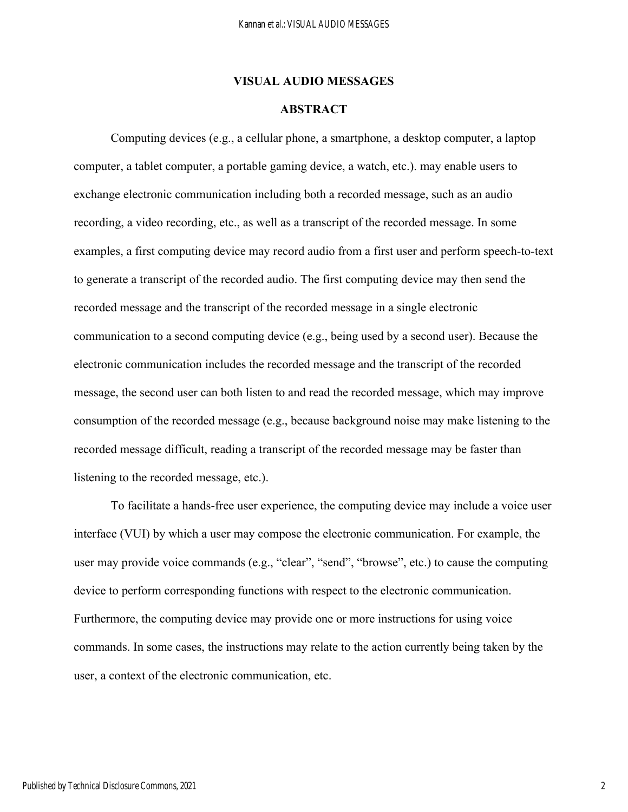## **VISUAL AUDIO MESSAGES**

# **ABSTRACT**

Computing devices (e.g., a cellular phone, a smartphone, a desktop computer, a laptop computer, a tablet computer, a portable gaming device, a watch, etc.). may enable users to exchange electronic communication including both a recorded message, such as an audio recording, a video recording, etc., as well as a transcript of the recorded message. In some examples, a first computing device may record audio from a first user and perform speech-to-text to generate a transcript of the recorded audio. The first computing device may then send the recorded message and the transcript of the recorded message in a single electronic communication to a second computing device (e.g., being used by a second user). Because the electronic communication includes the recorded message and the transcript of the recorded message, the second user can both listen to and read the recorded message, which may improve consumption of the recorded message (e.g., because background noise may make listening to the recorded message difficult, reading a transcript of the recorded message may be faster than listening to the recorded message, etc.).

To facilitate a hands-free user experience, the computing device may include a voice user interface (VUI) by which a user may compose the electronic communication. For example, the user may provide voice commands (e.g., "clear", "send", "browse", etc.) to cause the computing device to perform corresponding functions with respect to the electronic communication. Furthermore, the computing device may provide one or more instructions for using voice commands. In some cases, the instructions may relate to the action currently being taken by the user, a context of the electronic communication, etc.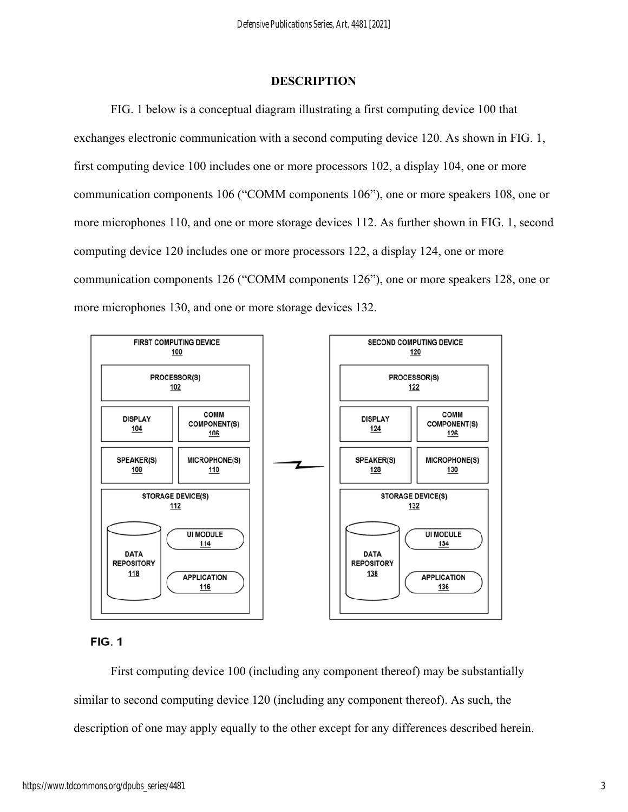#### **DESCRIPTION**

FIG. 1 below is a conceptual diagram illustrating a first computing device 100 that exchanges electronic communication with a second computing device 120. As shown in FIG. 1, first computing device 100 includes one or more processors 102, a display 104, one or more communication components 106 ("COMM components 106"), one or more speakers 108, one or more microphones 110, and one or more storage devices 112. As further shown in FIG. 1, second computing device 120 includes one or more processors 122, a display 124, one or more communication components 126 ("COMM components 126"), one or more speakers 128, one or more microphones 130, and one or more storage devices 132.



#### **FIG. 1**

First computing device 100 (including any component thereof) may be substantially similar to second computing device 120 (including any component thereof). As such, the description of one may apply equally to the other except for any differences described herein.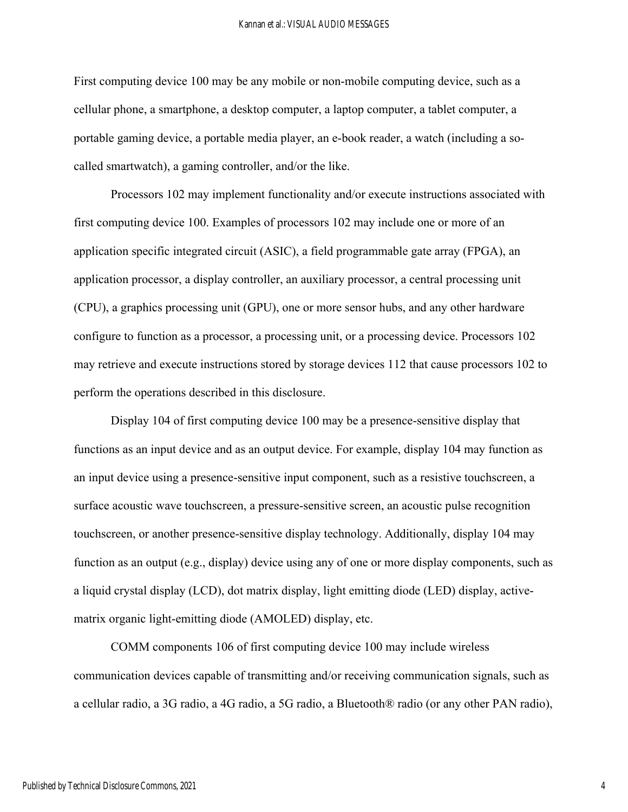#### Kannan et al.: VISUAL AUDIO MESSAGES

First computing device 100 may be any mobile or non-mobile computing device, such as a cellular phone, a smartphone, a desktop computer, a laptop computer, a tablet computer, a portable gaming device, a portable media player, an e-book reader, a watch (including a socalled smartwatch), a gaming controller, and/or the like.

Processors 102 may implement functionality and/or execute instructions associated with first computing device 100. Examples of processors 102 may include one or more of an application specific integrated circuit (ASIC), a field programmable gate array (FPGA), an application processor, a display controller, an auxiliary processor, a central processing unit (CPU), a graphics processing unit (GPU), one or more sensor hubs, and any other hardware configure to function as a processor, a processing unit, or a processing device. Processors 102 may retrieve and execute instructions stored by storage devices 112 that cause processors 102 to perform the operations described in this disclosure.

Display 104 of first computing device 100 may be a presence-sensitive display that functions as an input device and as an output device. For example, display 104 may function as an input device using a presence-sensitive input component, such as a resistive touchscreen, a surface acoustic wave touchscreen, a pressure-sensitive screen, an acoustic pulse recognition touchscreen, or another presence-sensitive display technology. Additionally, display 104 may function as an output (e.g., display) device using any of one or more display components, such as a liquid crystal display (LCD), dot matrix display, light emitting diode (LED) display, activematrix organic light-emitting diode (AMOLED) display, etc.

COMM components 106 of first computing device 100 may include wireless communication devices capable of transmitting and/or receiving communication signals, such as a cellular radio, a 3G radio, a 4G radio, a 5G radio, a Bluetooth® radio (or any other PAN radio),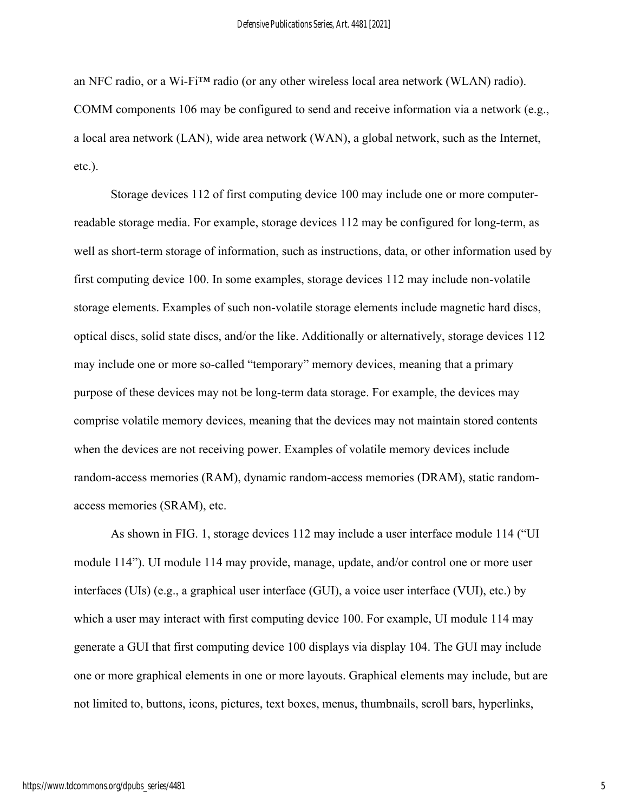an NFC radio, or a Wi-Fi™ radio (or any other wireless local area network (WLAN) radio). COMM components 106 may be configured to send and receive information via a network (e.g., a local area network (LAN), wide area network (WAN), a global network, such as the Internet, etc.).

Storage devices 112 of first computing device 100 may include one or more computerreadable storage media. For example, storage devices 112 may be configured for long-term, as well as short-term storage of information, such as instructions, data, or other information used by first computing device 100. In some examples, storage devices 112 may include non-volatile storage elements. Examples of such non-volatile storage elements include magnetic hard discs, optical discs, solid state discs, and/or the like. Additionally or alternatively, storage devices 112 may include one or more so-called "temporary" memory devices, meaning that a primary purpose of these devices may not be long-term data storage. For example, the devices may comprise volatile memory devices, meaning that the devices may not maintain stored contents when the devices are not receiving power. Examples of volatile memory devices include random-access memories (RAM), dynamic random-access memories (DRAM), static randomaccess memories (SRAM), etc.

As shown in FIG. 1, storage devices 112 may include a user interface module 114 ("UI module 114"). UI module 114 may provide, manage, update, and/or control one or more user interfaces (UIs) (e.g., a graphical user interface (GUI), a voice user interface (VUI), etc.) by which a user may interact with first computing device 100. For example, UI module 114 may generate a GUI that first computing device 100 displays via display 104. The GUI may include one or more graphical elements in one or more layouts. Graphical elements may include, but are not limited to, buttons, icons, pictures, text boxes, menus, thumbnails, scroll bars, hyperlinks,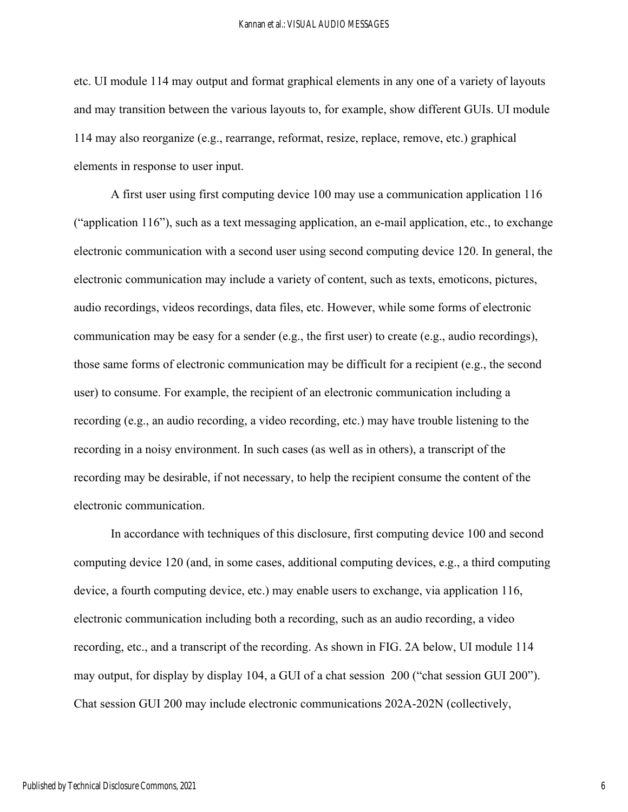#### Kannan et al.: VISUAL AUDIO MESSAGES

etc. UI module 114 may output and format graphical elements in any one of a variety of layouts and may transition between the various layouts to, for example, show different GUIs. UI module 114 may also reorganize (e.g., rearrange, reformat, resize, replace, remove, etc.) graphical elements in response to user input.

A first user using first computing device 100 may use a communication application 116 ("application 116"), such as a text messaging application, an e-mail application, etc., to exchange electronic communication with a second user using second computing device 120. In general, the electronic communication may include a variety of content, such as texts, emoticons, pictures, audio recordings, videos recordings, data files, etc. However, while some forms of electronic communication may be easy for a sender (e.g., the first user) to create (e.g., audio recordings), those same forms of electronic communication may be difficult for a recipient (e.g., the second user) to consume. For example, the recipient of an electronic communication including a recording (e.g., an audio recording, a video recording, etc.) may have trouble listening to the recording in a noisy environment. In such cases (as well as in others), a transcript of the recording may be desirable, if not necessary, to help the recipient consume the content of the electronic communication.

In accordance with techniques of this disclosure, first computing device 100 and second computing device 120 (and, in some cases, additional computing devices, e.g., a third computing device, a fourth computing device, etc.) may enable users to exchange, via application 116, electronic communication including both a recording, such as an audio recording, a video recording, etc., and a transcript of the recording. As shown in FIG. 2A below, UI module 114 may output, for display by display 104, a GUI of a chat session 200 ("chat session GUI 200"). Chat session GUI 200 may include electronic communications 202A-202N (collectively,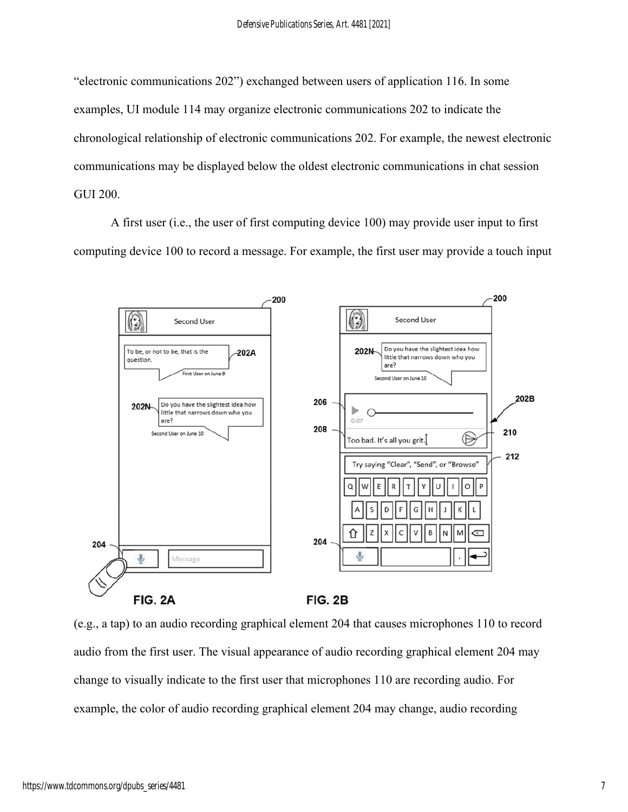"electronic communications 202") exchanged between users of application 116. In some examples, UI module 114 may organize electronic communications 202 to indicate the chronological relationship of electronic communications 202. For example, the newest electronic communications may be displayed below the oldest electronic communications in chat session GUI 200.

A first user (i.e., the user of first computing device 100) may provide user input to first computing device 100 to record a message. For example, the first user may provide a touch input



(e.g., a tap) to an audio recording graphical element 204 that causes microphones 110 to record audio from the first user. The visual appearance of audio recording graphical element 204 may change to visually indicate to the first user that microphones 110 are recording audio. For example, the color of audio recording graphical element 204 may change, audio recording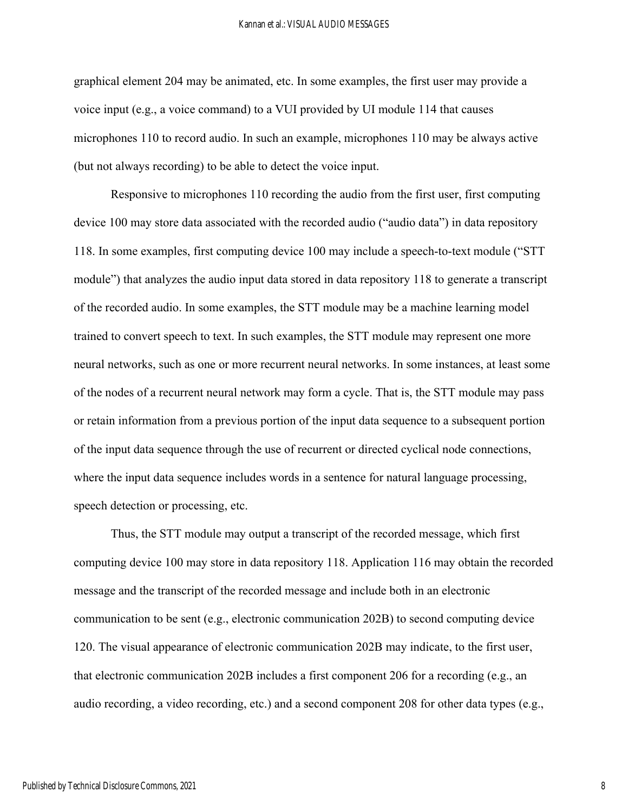#### Kannan et al.: VISUAL AUDIO MESSAGES

graphical element 204 may be animated, etc. In some examples, the first user may provide a voice input (e.g., a voice command) to a VUI provided by UI module 114 that causes microphones 110 to record audio. In such an example, microphones 110 may be always active (but not always recording) to be able to detect the voice input.

Responsive to microphones 110 recording the audio from the first user, first computing device 100 may store data associated with the recorded audio ("audio data") in data repository 118. In some examples, first computing device 100 may include a speech-to-text module ("STT module") that analyzes the audio input data stored in data repository 118 to generate a transcript of the recorded audio. In some examples, the STT module may be a machine learning model trained to convert speech to text. In such examples, the STT module may represent one more neural networks, such as one or more recurrent neural networks. In some instances, at least some of the nodes of a recurrent neural network may form a cycle. That is, the STT module may pass or retain information from a previous portion of the input data sequence to a subsequent portion of the input data sequence through the use of recurrent or directed cyclical node connections, where the input data sequence includes words in a sentence for natural language processing, speech detection or processing, etc.

Thus, the STT module may output a transcript of the recorded message, which first computing device 100 may store in data repository 118. Application 116 may obtain the recorded message and the transcript of the recorded message and include both in an electronic communication to be sent (e.g., electronic communication 202B) to second computing device 120. The visual appearance of electronic communication 202B may indicate, to the first user, that electronic communication 202B includes a first component 206 for a recording (e.g., an audio recording, a video recording, etc.) and a second component 208 for other data types (e.g.,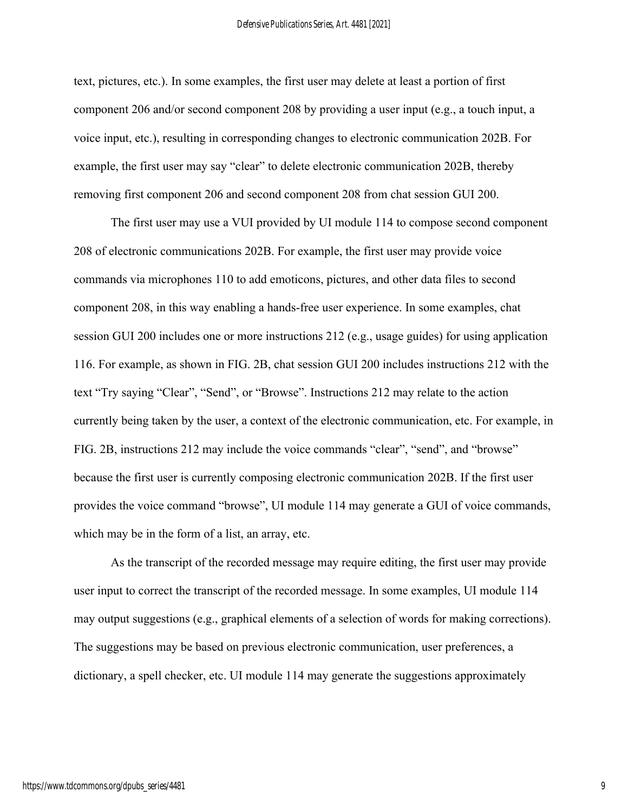text, pictures, etc.). In some examples, the first user may delete at least a portion of first component 206 and/or second component 208 by providing a user input (e.g., a touch input, a voice input, etc.), resulting in corresponding changes to electronic communication 202B. For example, the first user may say "clear" to delete electronic communication 202B, thereby removing first component 206 and second component 208 from chat session GUI 200.

The first user may use a VUI provided by UI module 114 to compose second component 208 of electronic communications 202B. For example, the first user may provide voice commands via microphones 110 to add emoticons, pictures, and other data files to second component 208, in this way enabling a hands-free user experience. In some examples, chat session GUI 200 includes one or more instructions 212 (e.g., usage guides) for using application 116. For example, as shown in FIG. 2B, chat session GUI 200 includes instructions 212 with the text "Try saying "Clear", "Send", or "Browse". Instructions 212 may relate to the action currently being taken by the user, a context of the electronic communication, etc. For example, in FIG. 2B, instructions 212 may include the voice commands "clear", "send", and "browse" because the first user is currently composing electronic communication 202B. If the first user provides the voice command "browse", UI module 114 may generate a GUI of voice commands, which may be in the form of a list, an array, etc.

As the transcript of the recorded message may require editing, the first user may provide user input to correct the transcript of the recorded message. In some examples, UI module 114 may output suggestions (e.g., graphical elements of a selection of words for making corrections). The suggestions may be based on previous electronic communication, user preferences, a dictionary, a spell checker, etc. UI module 114 may generate the suggestions approximately

9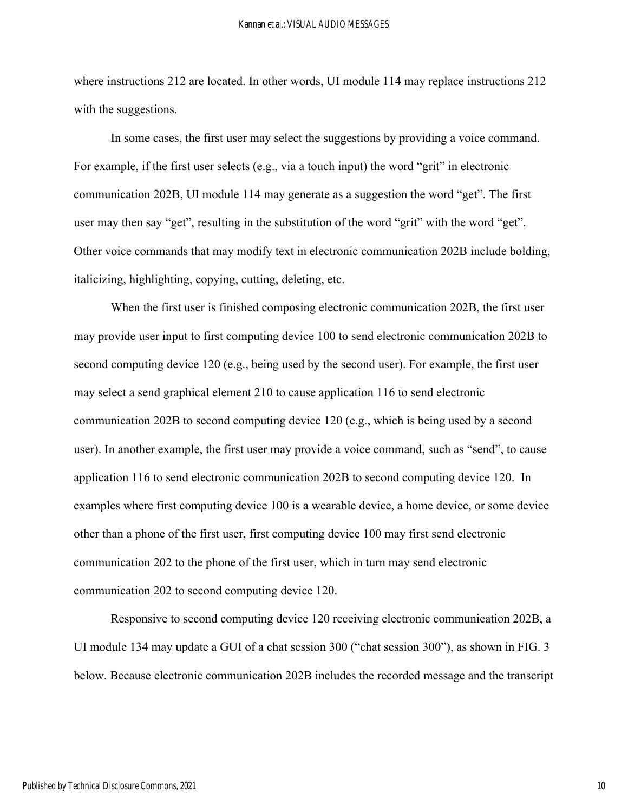where instructions 212 are located. In other words, UI module 114 may replace instructions 212 with the suggestions.

In some cases, the first user may select the suggestions by providing a voice command. For example, if the first user selects (e.g., via a touch input) the word "grit" in electronic communication 202B, UI module 114 may generate as a suggestion the word "get". The first user may then say "get", resulting in the substitution of the word "grit" with the word "get". Other voice commands that may modify text in electronic communication 202B include bolding, italicizing, highlighting, copying, cutting, deleting, etc.

When the first user is finished composing electronic communication 202B, the first user may provide user input to first computing device 100 to send electronic communication 202B to second computing device 120 (e.g., being used by the second user). For example, the first user may select a send graphical element 210 to cause application 116 to send electronic communication 202B to second computing device 120 (e.g., which is being used by a second user). In another example, the first user may provide a voice command, such as "send", to cause application 116 to send electronic communication 202B to second computing device 120. In examples where first computing device 100 is a wearable device, a home device, or some device other than a phone of the first user, first computing device 100 may first send electronic communication 202 to the phone of the first user, which in turn may send electronic communication 202 to second computing device 120.

Responsive to second computing device 120 receiving electronic communication 202B, a UI module 134 may update a GUI of a chat session 300 ("chat session 300"), as shown in FIG. 3 below. Because electronic communication 202B includes the recorded message and the transcript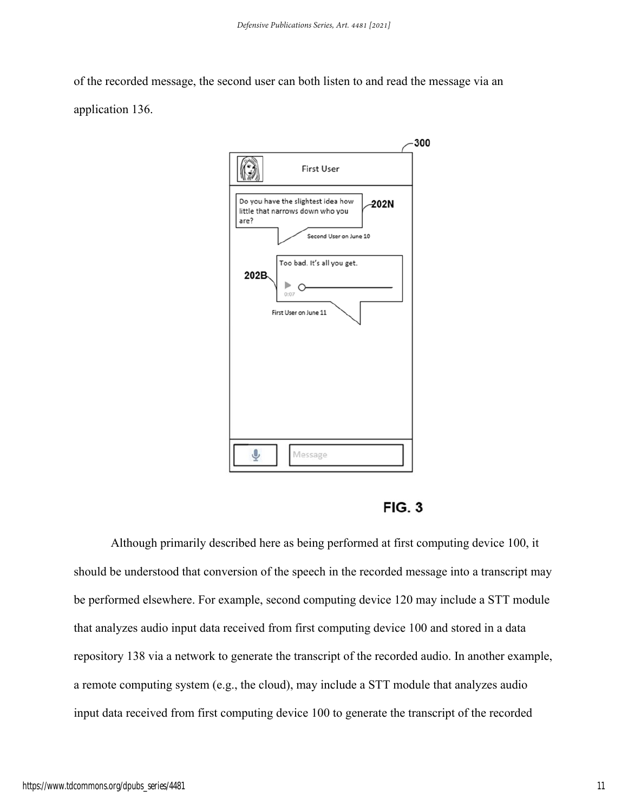of the recorded message, the second user can both listen to and read the message via an application 136.

|                                                                                        | 300 |
|----------------------------------------------------------------------------------------|-----|
| <b>First User</b>                                                                      |     |
|                                                                                        |     |
| Do you have the slightest idea how<br>202N<br>little that narrows down who you<br>are? |     |
| Second User on June 10                                                                 |     |
| Too bad. It's all you get.<br>202B                                                     |     |
| 0:07                                                                                   |     |
| First User on June 11                                                                  |     |
|                                                                                        |     |
|                                                                                        |     |
|                                                                                        |     |
|                                                                                        |     |
|                                                                                        |     |
| Message                                                                                |     |
|                                                                                        |     |

**FIG. 3** 

Although primarily described here as being performed at first computing device 100, it should be understood that conversion of the speech in the recorded message into a transcript may be performed elsewhere. For example, second computing device 120 may include a STT module that analyzes audio input data received from first computing device 100 and stored in a data repository 138 via a network to generate the transcript of the recorded audio. In another example, a remote computing system (e.g., the cloud), may include a STT module that analyzes audio input data received from first computing device 100 to generate the transcript of the recorded